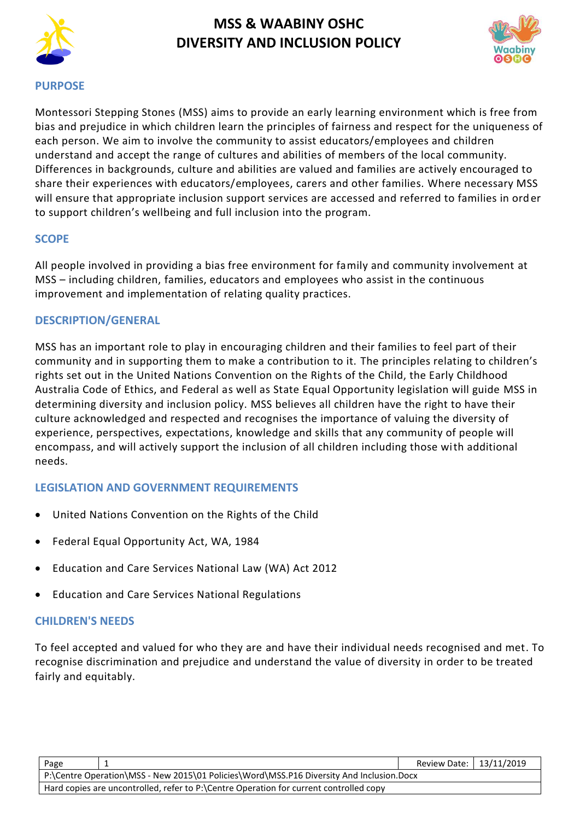

# **MSS & WAABINY OSHC DIVERSITY AND INCLUSION POLICY**



#### **PURPOSE**

Montessori Stepping Stones (MSS) aims to provide an early learning environment which is free from bias and prejudice in which children learn the principles of fairness and respect for the uniqueness of each person. We aim to involve the community to assist educators/employees and children understand and accept the range of cultures and abilities of members of the local community. Differences in backgrounds, culture and abilities are valued and families are actively encouraged to share their experiences with educators/employees, carers and other families. Where necessary MSS will ensure that appropriate inclusion support services are accessed and referred to families in ord er to support children's wellbeing and full inclusion into the program.

#### **SCOPE**

All people involved in providing a bias free environment for family and community involvement at MSS – including children, families, educators and employees who assist in the continuous improvement and implementation of relating quality practices.

### **DESCRIPTION/GENERAL**

MSS has an important role to play in encouraging children and their families to feel part of their community and in supporting them to make a contribution to it. The principles relating to children's rights set out in the United Nations Convention on the Rights of the Child, the Early Childhood Australia Code of Ethics, and Federal as well as State Equal Opportunity legislation will guide MSS in determining diversity and inclusion policy. MSS believes all children have the right to have their culture acknowledged and respected and recognises the importance of valuing the diversity of experience, perspectives, expectations, knowledge and skills that any community of people will encompass, and will actively support the inclusion of all children including those with additional needs.

### **LEGISLATION AND GOVERNMENT REQUIREMENTS**

- United Nations Convention on the Rights of the Child
- Federal Equal Opportunity Act, WA, 1984
- Education and Care Services National Law (WA) Act 2012
- Education and Care Services National Regulations

#### **CHILDREN'S NEEDS**

To feel accepted and valued for who they are and have their individual needs recognised and met. To recognise discrimination and prejudice and understand the value of diversity in order to be treated fairly and equitably.

| Page                                                                                     | Review Date:   13/11/2019 |  |  |  |
|------------------------------------------------------------------------------------------|---------------------------|--|--|--|
| P:\Centre Operation\MSS - New 2015\01 Policies\Word\MSS.P16 Diversity And Inclusion.Docx |                           |  |  |  |
| Hard copies are uncontrolled, refer to P:\Centre Operation for current controlled copy   |                           |  |  |  |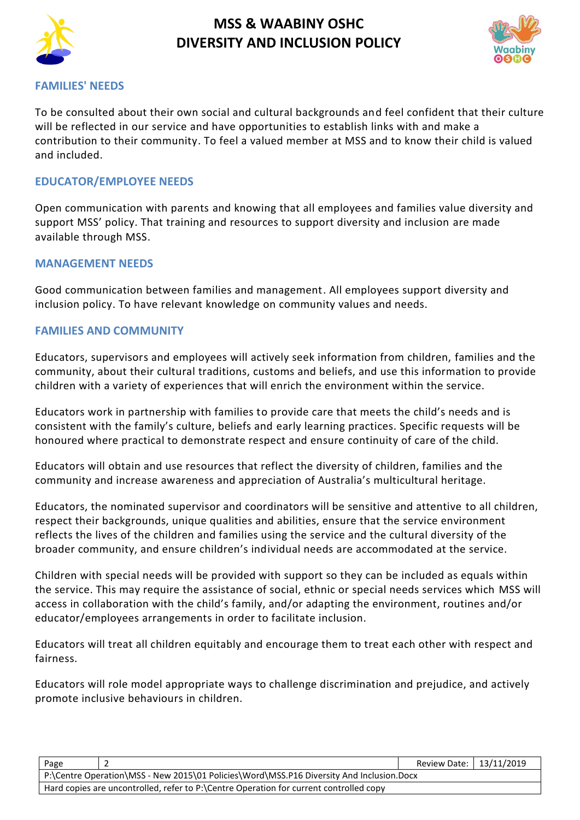

# **MSS & WAABINY OSHC DIVERSITY AND INCLUSION POLICY**



#### **FAMILIES' NEEDS**

To be consulted about their own social and cultural backgrounds and feel confident that their culture will be reflected in our service and have opportunities to establish links with and make a contribution to their community. To feel a valued member at MSS and to know their child is valued and included.

#### **EDUCATOR/EMPLOYEE NEEDS**

Open communication with parents and knowing that all employees and families value diversity and support MSS' policy. That training and resources to support diversity and inclusion are made available through MSS.

#### **MANAGEMENT NEEDS**

Good communication between families and management. All employees support diversity and inclusion policy. To have relevant knowledge on community values and needs.

#### **FAMILIES AND COMMUNITY**

Educators, supervisors and employees will actively seek information from children, families and the community, about their cultural traditions, customs and beliefs, and use this information to provide children with a variety of experiences that will enrich the environment within the service.

Educators work in partnership with families to provide care that meets the child's needs and is consistent with the family's culture, beliefs and early learning practices. Specific requests will be honoured where practical to demonstrate respect and ensure continuity of care of the child.

Educators will obtain and use resources that reflect the diversity of children, families and the community and increase awareness and appreciation of Australia's multicultural heritage.

Educators, the nominated supervisor and coordinators will be sensitive and attentive to all children, respect their backgrounds, unique qualities and abilities, ensure that the service environment reflects the lives of the children and families using the service and the cultural diversity of the broader community, and ensure children's individual needs are accommodated at the service.

Children with special needs will be provided with support so they can be included as equals within the service. This may require the assistance of social, ethnic or special needs services which MSS will access in collaboration with the child's family, and/or adapting the environment, routines and/or educator/employees arrangements in order to facilitate inclusion.

Educators will treat all children equitably and encourage them to treat each other with respect and fairness.

Educators will role model appropriate ways to challenge discrimination and prejudice, and actively promote inclusive behaviours in children.

| Page                                                                                     | Review Date:   13/11/2019 |  |  |  |  |
|------------------------------------------------------------------------------------------|---------------------------|--|--|--|--|
| P:\Centre Operation\MSS - New 2015\01 Policies\Word\MSS.P16 Diversity And Inclusion.Docx |                           |  |  |  |  |
| Hard copies are uncontrolled, refer to P:\Centre Operation for current controlled copy   |                           |  |  |  |  |